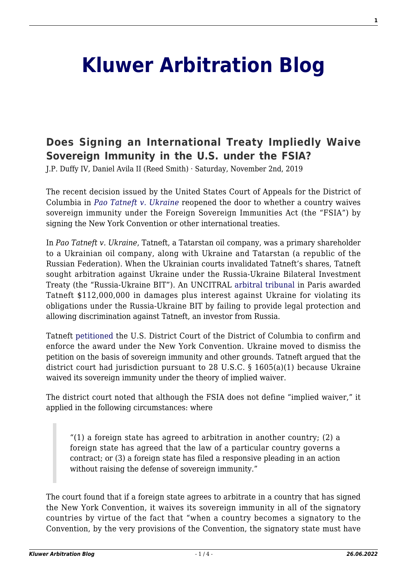## **[Kluwer Arbitration Blog](http://arbitrationblog.kluwerarbitration.com/)**

## **[Does Signing an International Treaty Impliedly Waive](http://arbitrationblog.kluwerarbitration.com/2019/11/02/does-signing-an-international-treaty-impliedly-waive-sovereign-immunity-in-the-u-s-under-the-fsia/) [Sovereign Immunity in the U.S. under the FSIA?](http://arbitrationblog.kluwerarbitration.com/2019/11/02/does-signing-an-international-treaty-impliedly-waive-sovereign-immunity-in-the-u-s-under-the-fsia/)**

J.P. Duffy IV, Daniel Avila II (Reed Smith) · Saturday, November 2nd, 2019

The recent decision issued by the United States Court of Appeals for the District of Columbia in *[Pao Tatneft v. Ukraine](https://www.cadc.uscourts.gov/internet/judgments.nsf/9373BD9C97C9E3F4852584080046CEC4/$file/18-7057-1789583.pdf)* reopened the door to whether a country waives sovereign immunity under the Foreign Sovereign Immunities Act (the "FSIA") by signing the New York Convention or other international treaties.

In *Pao Tatneft v. Ukraine*, Tatneft, a Tatarstan oil company, was a primary shareholder to a Ukrainian oil company, along with Ukraine and Tatarstan (a republic of the Russian Federation). When the Ukrainian courts invalidated Tatneft's shares, Tatneft sought arbitration against Ukraine under the Russia-Ukraine Bilateral Investment Treaty (the "Russia-Ukraine BIT"). An UNCITRAL [arbitral tribunal](https://www.italaw.com/cases/4736) in Paris awarded Tatneft \$112,000,000 in damages plus interest against Ukraine for violating its obligations under the Russia-Ukraine BIT by failing to provide legal protection and allowing discrimination against Tatneft, an investor from Russia.

Tatneft [petitioned](https://www.leagle.com/decision/infdco20180320a11) the U.S. District Court of the District of Columbia to confirm and enforce the award under the New York Convention. Ukraine moved to dismiss the petition on the basis of sovereign immunity and other grounds. Tatneft argued that the district court had jurisdiction pursuant to 28 U.S.C. § 1605(a)(1) because Ukraine waived its sovereign immunity under the theory of implied waiver.

The district court noted that although the FSIA does not define "implied waiver," it applied in the following circumstances: where

"(1) a foreign state has agreed to arbitration in another country; (2) a foreign state has agreed that the law of a particular country governs a contract; or (3) a foreign state has filed a responsive pleading in an action without raising the defense of sovereign immunity."

The court found that if a foreign state agrees to arbitrate in a country that has signed the New York Convention, it waives its sovereign immunity in all of the signatory countries by virtue of the fact that "when a country becomes a signatory to the Convention, by the very provisions of the Convention, the signatory state must have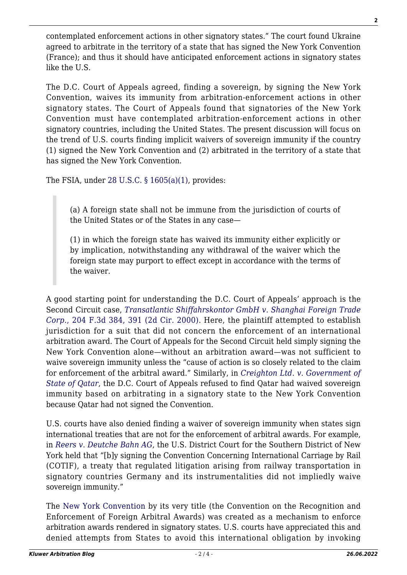contemplated enforcement actions in other signatory states." The court found Ukraine agreed to arbitrate in the territory of a state that has signed the New York Convention (France); and thus it should have anticipated enforcement actions in signatory states like the U.S.

The D.C. Court of Appeals agreed, finding a sovereign, by signing the New York Convention, waives its immunity from arbitration-enforcement actions in other signatory states. The Court of Appeals found that signatories of the New York Convention must have contemplated arbitration-enforcement actions in other signatory countries, including the United States. The present discussion will focus on the trend of U.S. courts finding implicit waivers of sovereign immunity if the country (1) signed the New York Convention and (2) arbitrated in the territory of a state that has signed the New York Convention.

The FSIA, under 28 U.S.C.  $\S$  1605(a)(1), provides:

(a) A foreign state shall not be immune from the jurisdiction of courts of the United States or of the States in any case—

(1) in which the foreign state has waived its immunity either explicitly or by implication, notwithstanding any withdrawal of the waiver which the foreign state may purport to effect except in accordance with the terms of the waiver.

A good starting point for understanding the D.C. Court of Appeals' approach is the Second Circuit case, *[Transatlantic Shiffahrskontor GmbH v. Shanghai Foreign Trade](https://scholar.google.com/scholar_case?case=6295786836074172634&q=204+F.3d+384&hl=en&as_sdt=2006) [Corp.](https://scholar.google.com/scholar_case?case=6295786836074172634&q=204+F.3d+384&hl=en&as_sdt=2006)*[, 204 F.3d 384, 391 \(2d Cir. 2000\).](https://scholar.google.com/scholar_case?case=6295786836074172634&q=204+F.3d+384&hl=en&as_sdt=2006) Here, the plaintiff attempted to establish jurisdiction for a suit that did not concern the enforcement of an international arbitration award. The Court of Appeals for the Second Circuit held simply signing the New York Convention alone—without an arbitration award—was not sufficient to waive sovereign immunity unless the "cause of action is so closely related to the claim for enforcement of the arbitral award." Similarly, in *[Creighton Ltd. v. Government of](https://law.justia.com/cases/federal/appellate-courts/F3/181/118/586873/) [State of Qatar](https://law.justia.com/cases/federal/appellate-courts/F3/181/118/586873/)*, the D.C. Court of Appeals refused to find Qatar had waived sovereign immunity based on arbitrating in a signatory state to the New York Convention because Qatar had not signed the Convention.

U.S. courts have also denied finding a waiver of sovereign immunity when states sign international treaties that are not for the enforcement of arbitral awards. For example, in *[Reers v. Deutche Bahn AG](https://www.courtlistener.com/opinion/2469007/reers-v-deutsche-bahn-ag/?b52b5eef07f69b1a33bf9ae55ca3&originationContext=Smart%20Answer&transitionType=SearchItem&contextData=%28sc.Search%29)*, the U.S. District Court for the Southern District of New York held that "[b]y signing the Convention Concerning International Carriage by Rail (COTIF), a treaty that regulated litigation arising from railway transportation in signatory countries Germany and its instrumentalities did not impliedly waive sovereign immunity."

The [New York Convention](http://www.newyorkconvention.org/11165/web/files/original/1/5/15432.pdf) by its very title (the Convention on the Recognition and Enforcement of Foreign Arbitral Awards) was created as a mechanism to enforce arbitration awards rendered in signatory states. U.S. courts have appreciated this and denied attempts from States to avoid this international obligation by invoking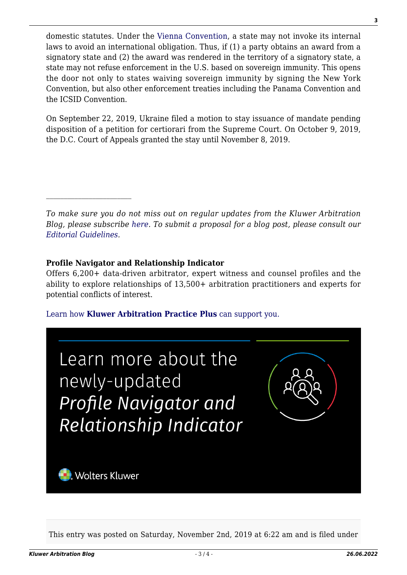domestic statutes. Under the [Vienna Convention,](https://www.oas.org/legal/english/docs/Vienna%20Convention%20Treaties.htm) a state may not invoke its internal laws to avoid an international obligation. Thus, if (1) a party obtains an award from a signatory state and (2) the award was rendered in the territory of a signatory state, a state may not refuse enforcement in the U.S. based on sovereign immunity. This opens the door not only to states waiving sovereign immunity by signing the New York Convention, but also other enforcement treaties including the Panama Convention and the ICSID Convention.

On September 22, 2019, Ukraine filed a motion to stay issuance of mandate pending disposition of a petition for certiorari from the Supreme Court. On October 9, 2019, the D.C. Court of Appeals granted the stay until November 8, 2019.

*To make sure you do not miss out on regular updates from the Kluwer Arbitration Blog, please subscribe [here](http://arbitrationblog.kluwerarbitration.com/newsletter/). To submit a proposal for a blog post, please consult our [Editorial Guidelines.](http://arbitrationblog.kluwerarbitration.com/editorial-guidelines/)*

## **Profile Navigator and Relationship Indicator**

Offers 6,200+ data-driven arbitrator, expert witness and counsel profiles and the ability to explore relationships of 13,500+ arbitration practitioners and experts for potential conflicts of interest.

[Learn how](https://www.wolterskluwer.com/en/solutions/kluwerarbitration/practiceplus?utm_source=arbitrationblog&utm_medium=articleCTA&utm_campaign=article-banner) **[Kluwer Arbitration Practice Plus](https://www.wolterskluwer.com/en/solutions/kluwerarbitration/practiceplus?utm_source=arbitrationblog&utm_medium=articleCTA&utm_campaign=article-banner)** [can support you.](https://www.wolterskluwer.com/en/solutions/kluwerarbitration/practiceplus?utm_source=arbitrationblog&utm_medium=articleCTA&utm_campaign=article-banner)



This entry was posted on Saturday, November 2nd, 2019 at 6:22 am and is filed under